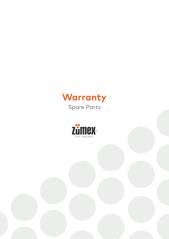

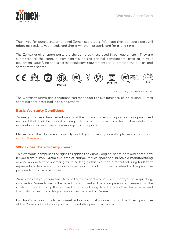

Thank you for purchasing an original Zumex spare part. We hope that our spare part will adapt perfectly to your needs and that it will work properly and for a long time.

The Zumex original spare parts are the same as those used in our equipment. They are submitted to the same quality controls as the original components installed in your equipment, satisfying the strictest regulatory requirements to guarantee the quality and safety of the spares.



\* See the range of certified products.

The warranty terms and conditions corresponding to your purchase of an original Zumex spare part are described in this document.

## **Basic Warranty Conditions**

Zumex guarantees the excellent quality of the original Zumex spare part you have purchased new and that it will be in good working order for 6 months as from the purchase date. This warranty exclusively covers Zumex original spare parts.

Please read this document carefully and if you have any doubts, please contact us at service@zumex.com

## **What does the warranty cover?**

This warranty comprises the right to replace the Zumex original spare part purchased new by you from Zumex Group S.A. free of charge, if such spare should have a manufacturing or assembly defect or operating fault, so long as this is due to a manufacturing fault that represents a deficiency in its normal operation. It shall not cover a refund of the purchase price under any circumstances.

Zumex may ask you, at any time, to send the faulty part whose replacement you are requesting, in order for Zumex to verify the defect. Its shipment will be a compulsory requirement for the validity of this warranty. If it is indeed a manufacturing defect, the part will be replaced and the costs derived from this process will be assumed by Zumex.

For this Zumex warranty to become effective, you must provide proof of the date of purchase of the Zumex original spare part, via the relative purchase invoice.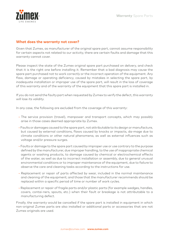

## **What does the warranty not cover?**

Given that Zumex, as manufacturer of the original spare part, cannot assume responsibility for certain aspects not related to our activity, there are certain faults and damage that this warranty cannot cover.

Please inspect the state of the Zumex original spare part purchased on delivery, and check that it is the right one before installing it. Remember that a bad diagnosis may cause the spare part purchased not to work correctly or the incorrect operation of the equipment. Any flaw, damage or operating deficiency, caused by mistakes in selecting the spare part, by inadequate installation or improper use of the spare part, will result in the loss of coverage of this warranty and of the warranty of the equipment that this spare part is installed in.

If you do not send the faulty part when requested by Zumex to verify the defect, this warranty will lose its validity.

In any case, the following are excluded from the coverage of this warranty:

- The service provision (travel), manpower and transport concepts, which may possibly arise in those cases deemed appropriate by Zumex.
- Faults or damages caused to the spare part, not attributable to its design or manufacture, but caused by external conditions, flaws caused by knocks or impacts, da-mage due to climate conditions or other natural phenomena, as well as external influences such as voltage and/or pressure surges.
- Faults or damage to the spare part caused by improper use or use contrary to the purpose defined by the manufacturer, due improper handling, to the use of inappropriate chemical agents or washing products, to damage caused by chemical or electrochemical effects of the water, as well as due to incorrect installation or assembly, due to general unusual environmental conditions or to improper maintenance of the equipment, due to failure to observe the care and cleaning tasks according to the instructions for use.
- Replacement or repair of parts affected by wear, included in the normal maintenance and cleaning of the equipment; and those that the manufacturer recommends should be replaced within a specific period of time or number of work cycles.
- Replacement or repair of fragile parts and/or plastic parts (for example wedges, handles, covers, contai-ners, spouts, etc.) when their fault or breakage is not attributable to a manufacturing defect.

Finally, the warranty would be cancelled if the spare part is installed in equipment in which non-original Zumex parts are also installed or additional parts or accessories that are not Zumex originals are used.